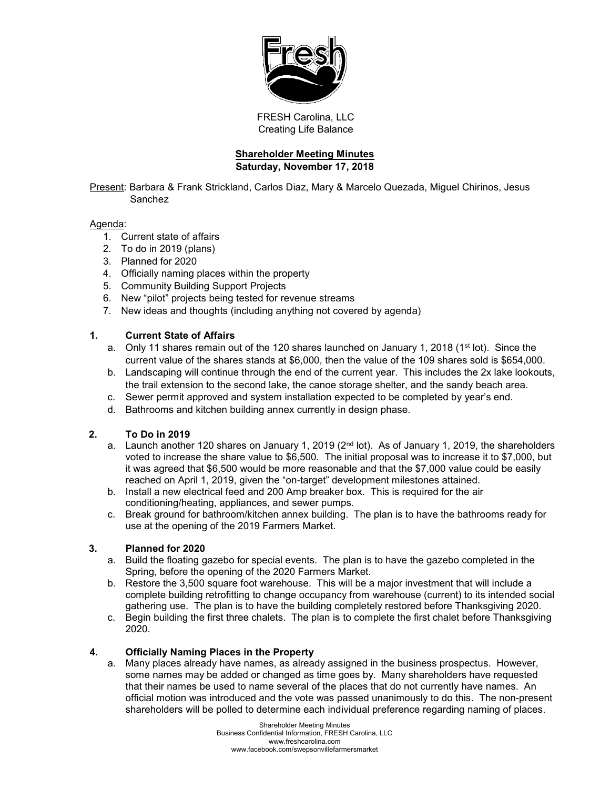

FRESH Carolina, LLC Creating Life Balance

# **Shareholder Meeting Minutes Saturday, November 17, 2018**

Present: Barbara & Frank Strickland, Carlos Diaz, Mary & Marcelo Quezada, Miguel Chirinos, Jesus Sanchez

#### Agenda:

- 1. Current state of affairs
- 2. To do in 2019 (plans)
- 3. Planned for 2020
- 4. Officially naming places within the property
- 5. Community Building Support Projects
- 6. New "pilot" projects being tested for revenue streams
- 7. New ideas and thoughts (including anything not covered by agenda)

# **1. Current State of Affairs**

- a. Only 11 shares remain out of the 120 shares launched on January 1, 2018 (1<sup>st</sup> lot). Since the current value of the shares stands at \$6,000, then the value of the 109 shares sold is \$654,000.
- b. Landscaping will continue through the end of the current year. This includes the 2x lake lookouts, the trail extension to the second lake, the canoe storage shelter, and the sandy beach area.
- c. Sewer permit approved and system installation expected to be completed by year's end.
- d. Bathrooms and kitchen building annex currently in design phase.

# **2. To Do in 2019**

- a. Launch another 120 shares on January 1, 2019 ( $2<sup>nd</sup>$  lot). As of January 1, 2019, the shareholders voted to increase the share value to \$6,500. The initial proposal was to increase it to \$7,000, but it was agreed that \$6,500 would be more reasonable and that the \$7,000 value could be easily reached on April 1, 2019, given the "on-target" development milestones attained.
- b. Install a new electrical feed and 200 Amp breaker box. This is required for the air conditioning/heating, appliances, and sewer pumps.
- c. Break ground for bathroom/kitchen annex building. The plan is to have the bathrooms ready for use at the opening of the 2019 Farmers Market.

# **3. Planned for 2020**

- a. Build the floating gazebo for special events. The plan is to have the gazebo completed in the Spring, before the opening of the 2020 Farmers Market.
- b. Restore the 3,500 square foot warehouse. This will be a major investment that will include a complete building retrofitting to change occupancy from warehouse (current) to its intended social gathering use. The plan is to have the building completely restored before Thanksgiving 2020.
- c. Begin building the first three chalets. The plan is to complete the first chalet before Thanksgiving 2020.

# **4. Officially Naming Places in the Property**

a. Many places already have names, as already assigned in the business prospectus. However, some names may be added or changed as time goes by. Many shareholders have requested that their names be used to name several of the places that do not currently have names. An official motion was introduced and the vote was passed unanimously to do this. The non-present shareholders will be polled to determine each individual preference regarding naming of places.